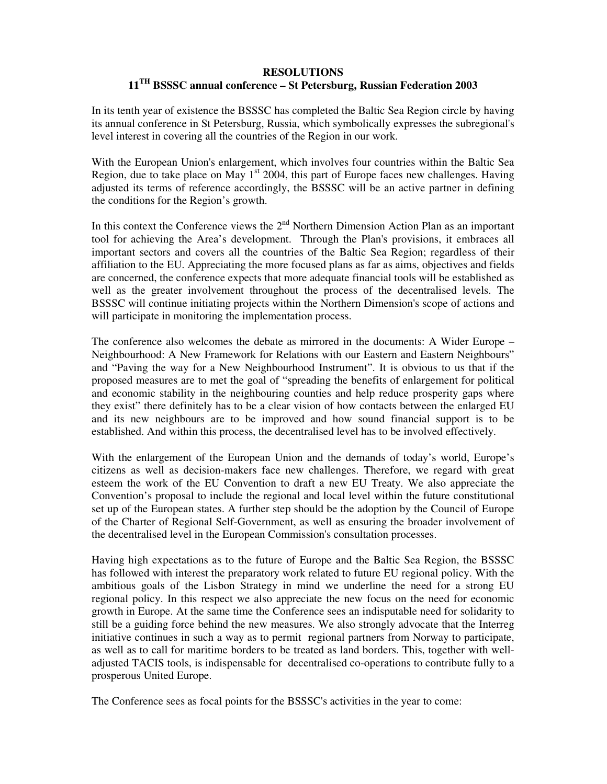## **RESOLUTIONS 11 TH BSSSC annual conference – St Petersburg, Russian Federation 2003**

In its tenth year of existence the BSSSC has completed the Baltic Sea Region circle by having its annual conference in St Petersburg, Russia, which symbolically expresses the subregional's level interest in covering all the countries of the Region in our work.

With the European Union's enlargement, which involves four countries within the Baltic Sea Region, due to take place on May  $1<sup>st</sup>$  2004, this part of Europe faces new challenges. Having adjusted its terms of reference accordingly, the BSSSC will be an active partner in defining the conditions for the Region's growth.

In this context the Conference views the  $2<sup>nd</sup>$  Northern Dimension Action Plan as an important tool for achieving the Area's development. Through the Plan's provisions, it embraces all important sectors and covers all the countries of the Baltic Sea Region; regardless of their affiliation to the EU. Appreciating the more focused plans as far as aims, objectives and fields are concerned, the conference expects that more adequate financial tools will be established as well as the greater involvement throughout the process of the decentralised levels. The BSSSC will continue initiating projects within the Northern Dimension's scope of actions and will participate in monitoring the implementation process.

The conference also welcomes the debate as mirrored in the documents: A Wider Europe – Neighbourhood: A New Framework for Relations with our Eastern and Eastern Neighbours" and "Paving the way for a New Neighbourhood Instrument". It is obvious to us that if the proposed measures are to met the goal of "spreading the benefits of enlargement for political and economic stability in the neighbouring counties and help reduce prosperity gaps where they exist" there definitely has to be a clear vision of how contacts between the enlarged EU and its new neighbours are to be improved and how sound financial support is to be established. And within this process, the decentralised level has to be involved effectively.

With the enlargement of the European Union and the demands of today's world, Europe's citizens as well as decision-makers face new challenges. Therefore, we regard with great esteem the work of the EU Convention to draft a new EU Treaty. We also appreciate the Convention's proposal to include the regional and local level within the future constitutional set up of the European states. A further step should be the adoption by the Council of Europe of the Charter of Regional Self-Government, as well as ensuring the broader involvement of the decentralised level in the European Commission's consultation processes.

Having high expectations as to the future of Europe and the Baltic Sea Region, the BSSSC has followed with interest the preparatory work related to future EU regional policy. With the ambitious goals of the Lisbon Strategy in mind we underline the need for a strong EU regional policy. In this respect we also appreciate the new focus on the need for economic growth in Europe. At the same time the Conference sees an indisputable need for solidarity to still be a guiding force behind the new measures. We also strongly advocate that the Interreg initiative continues in such a way as to permit regional partners from Norway to participate, as well as to call for maritime borders to be treated as land borders. This, together with welladjusted TACIS tools, is indispensable for decentralised co-operations to contribute fully to a prosperous United Europe.

The Conference sees as focal points for the BSSSC's activities in the year to come: